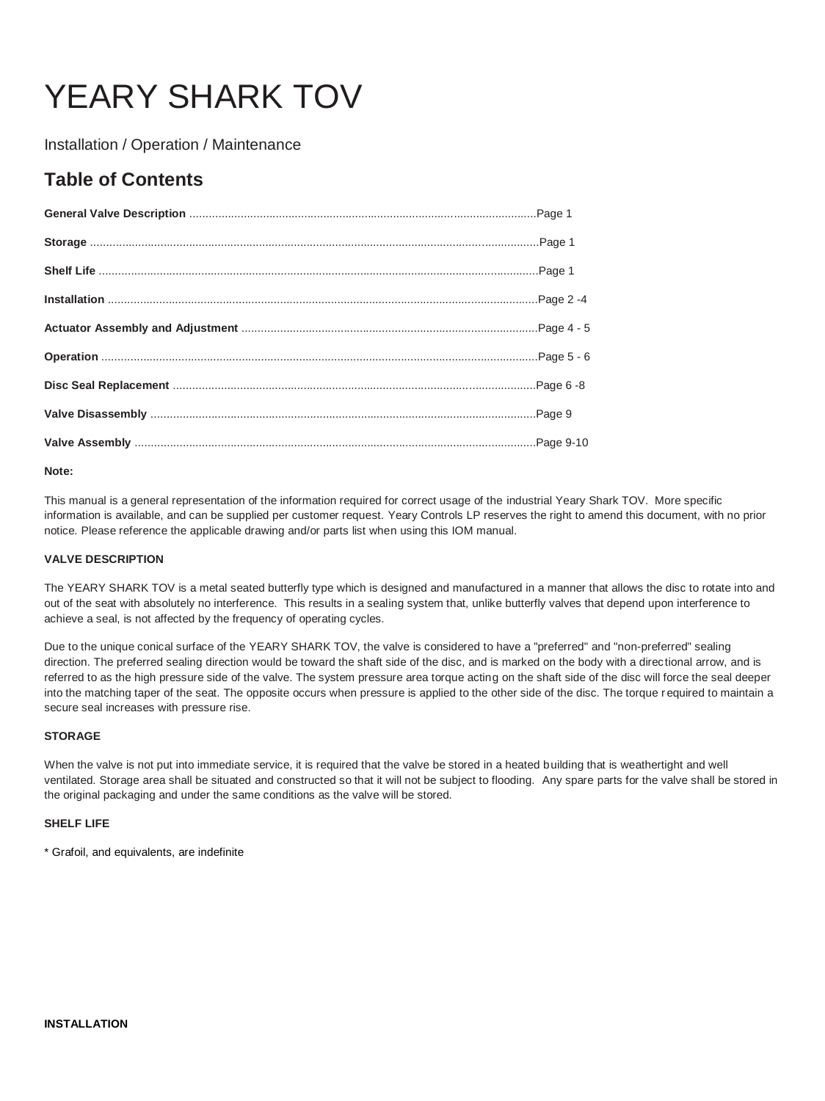# YEARY SHARK TOV

Installation / Operation / Maintenance

# **Table of Contents**

# **Note:**

This manual is a general representation of the information required for correct usage of the industrial Yeary Shark TOV. More specific information is available, and can be supplied per customer request. Yeary Controls LP reserves the right to amend this document, with no prior notice. Please reference the applicable drawing and/or parts list when using this IOM manual.

# **VALVE DESCRIPTION**

The YEARY SHARK TOV is a metal seated butterfly type which is designed and manufactured in a manner that allows the disc to rotate into and out of the seat with absolutely no interference. This results in a sealing system that, unlike butterfly valves that depend upon interference to achieve a seal, is not affected by the frequency of operating cycles.

Due to the unique conical surface of the YEARY SHARK TOV, the valve is considered to have a "preferred" and "non-preferred" sealing direction. The preferred sealing direction would be toward the shaft side of the disc, and is marked on the body with a directional arrow, and is referred to as the high pressure side of the valve. The system pressure area torque acting on the shaft side of the disc will force the seal deeper into the matching taper of the seat. The opposite occurs when pressure is applied to the other side of the disc. The torque r equired to maintain a secure seal increases with pressure rise.

# **STORAGE**

When the valve is not put into immediate service, it is required that the valve be stored in a heated building that is weathertight and well ventilated. Storage area shall be situated and constructed so that it will not be subject to flooding. Any spare parts for the valve shall be stored in the original packaging and under the same conditions as the valve will be stored.

# **SHELF LIFE**

\* Grafoil, and equivalents, are indefinite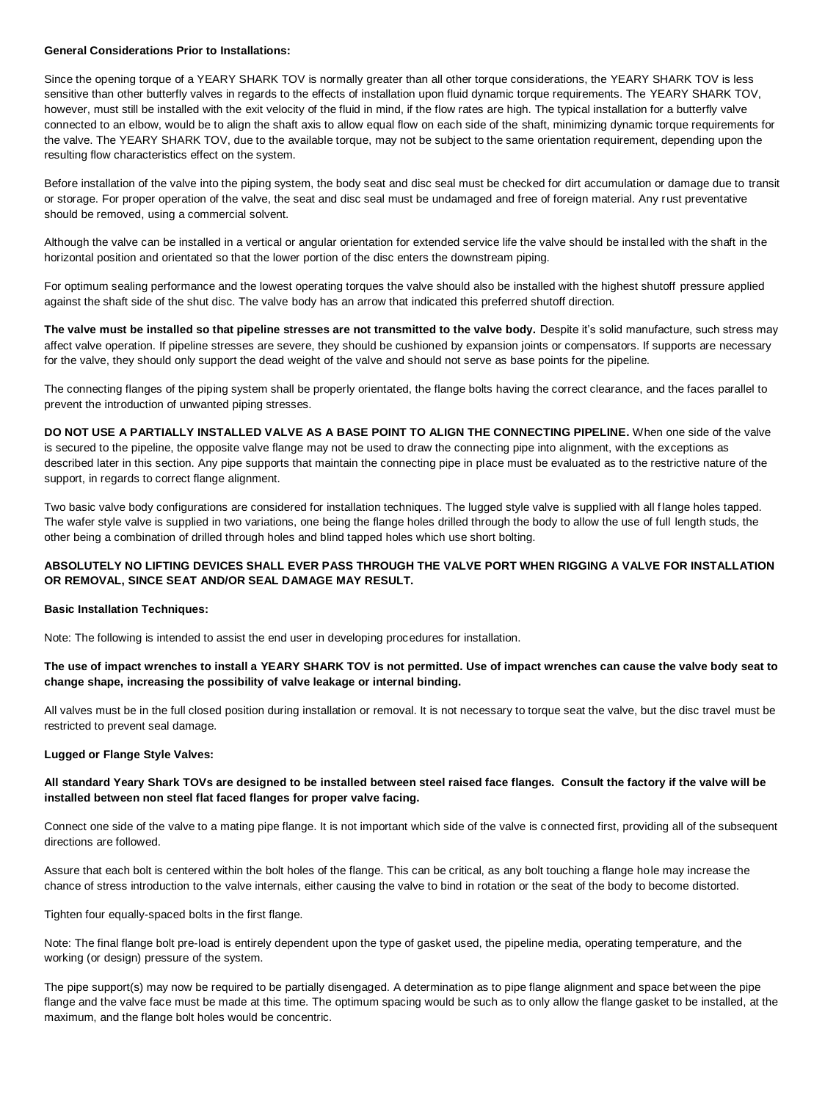#### **General Considerations Prior to Installations:**

Since the opening torque of a YEARY SHARK TOV is normally greater than all other torque considerations, the YEARY SHARK TOV is less sensitive than other butterfly valves in regards to the effects of installation upon fluid dynamic torque requirements. The YEARY SHARK TOV, however, must still be installed with the exit velocity of the fluid in mind, if the flow rates are high. The typical installation for a butterfly valve connected to an elbow, would be to align the shaft axis to allow equal flow on each side of the shaft, minimizing dynamic torque requirements for the valve. The YEARY SHARK TOV, due to the available torque, may not be subject to the same orientation requirement, depending upon the resulting flow characteristics effect on the system.

Before installation of the valve into the piping system, the body seat and disc seal must be checked for dirt accumulation or damage due to transit or storage. For proper operation of the valve, the seat and disc seal must be undamaged and free of foreign material. Any rust preventative should be removed, using a commercial solvent.

Although the valve can be installed in a vertical or angular orientation for extended service life the valve should be installed with the shaft in the horizontal position and orientated so that the lower portion of the disc enters the downstream piping.

For optimum sealing performance and the lowest operating torques the valve should also be installed with the highest shutoff pressure applied against the shaft side of the shut disc. The valve body has an arrow that indicated this preferred shutoff direction.

The valve must be installed so that pipeline stresses are not transmitted to the valve body. Despite it's solid manufacture, such stress may affect valve operation. If pipeline stresses are severe, they should be cushioned by expansion joints or compensators. If supports are necessary for the valve, they should only support the dead weight of the valve and should not serve as base points for the pipeline.

The connecting flanges of the piping system shall be properly orientated, the flange bolts having the correct clearance, and the faces parallel to prevent the introduction of unwanted piping stresses.

**DO NOT USE A PARTIALLY INSTALLED VALVE AS A BASE POINT TO ALIGN THE CONNECTING PIPELINE.** When one side of the valve is secured to the pipeline, the opposite valve flange may not be used to draw the connecting pipe into alignment, with the exceptions as described later in this section. Any pipe supports that maintain the connecting pipe in place must be evaluated as to the restrictive nature of the support, in regards to correct flange alignment.

Two basic valve body configurations are considered for installation techniques. The lugged style valve is supplied with all flange holes tapped. The wafer style valve is supplied in two variations, one being the flange holes drilled through the body to allow the use of full length studs, the other being a combination of drilled through holes and blind tapped holes which use short bolting.

# **ABSOLUTELY NO LIFTING DEVICES SHALL EVER PASS THROUGH THE VALVE PORT WHEN RIGGING A VALVE FOR INSTALLATION OR REMOVAL, SINCE SEAT AND/OR SEAL DAMAGE MAY RESULT.**

# **Basic Installation Techniques:**

Note: The following is intended to assist the end user in developing procedures for installation.

# **The use of impact wrenches to install a YEARY SHARK TOV is not permitted. Use of impact wrenches can cause the valve body seat to change shape, increasing the possibility of valve leakage or internal binding.**

All valves must be in the full closed position during installation or removal. It is not necessary to torque seat the valve, but the disc travel must be restricted to prevent seal damage.

# **Lugged or Flange Style Valves:**

# **All standard Yeary Shark TOVs are designed to be installed between steel raised face flanges. Consult the factory if the valve will be installed between non steel flat faced flanges for proper valve facing.**

Connect one side of the valve to a mating pipe flange. It is not important which side of the valve is connected first, providing all of the subsequent directions are followed.

Assure that each bolt is centered within the bolt holes of the flange. This can be critical, as any bolt touching a flange hole may increase the chance of stress introduction to the valve internals, either causing the valve to bind in rotation or the seat of the body to become distorted.

Tighten four equally-spaced bolts in the first flange.

Note: The final flange bolt pre-load is entirely dependent upon the type of gasket used, the pipeline media, operating temperature, and the working (or design) pressure of the system.

The pipe support(s) may now be required to be partially disengaged. A determination as to pipe flange alignment and space between the pipe flange and the valve face must be made at this time. The optimum spacing would be such as to only allow the flange gasket to be installed, at the maximum, and the flange bolt holes would be concentric.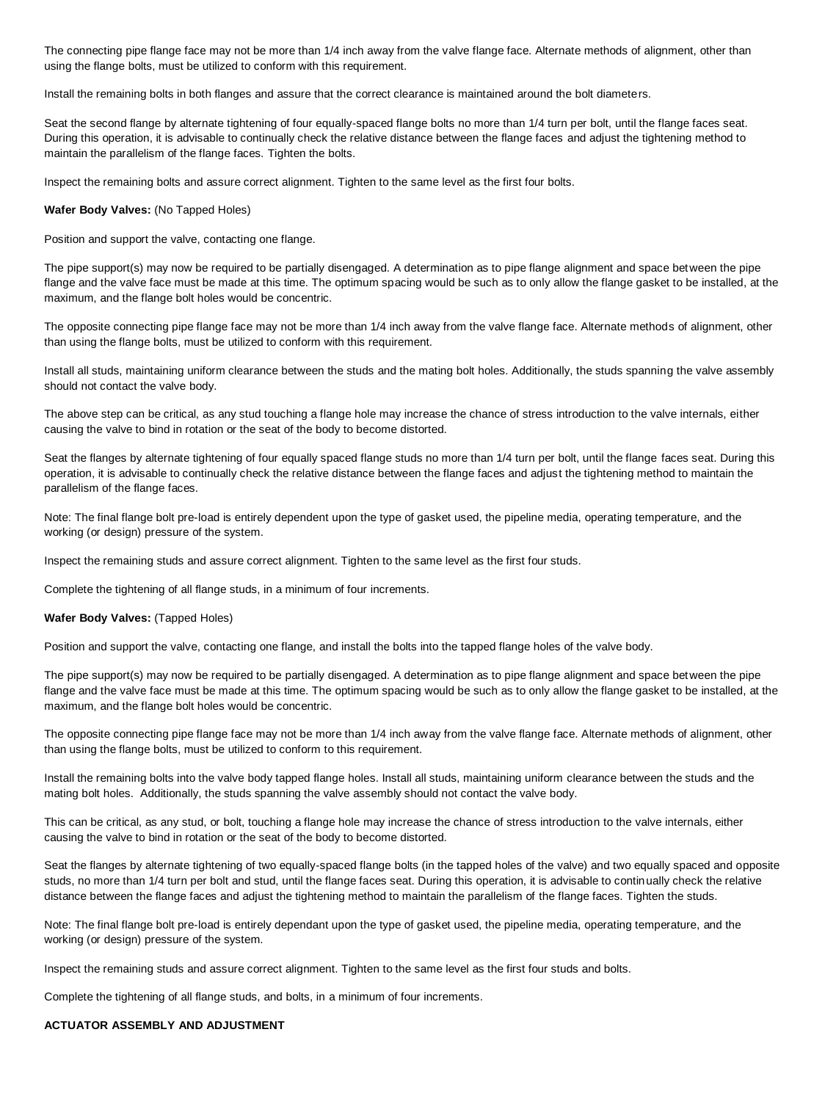The connecting pipe flange face may not be more than 1/4 inch away from the valve flange face. Alternate methods of alignment, other than using the flange bolts, must be utilized to conform with this requirement.

Install the remaining bolts in both flanges and assure that the correct clearance is maintained around the bolt diameters.

Seat the second flange by alternate tightening of four equally-spaced flange bolts no more than 1/4 turn per bolt, until the flange faces seat. During this operation, it is advisable to continually check the relative distance between the flange faces and adjust the tightening method to maintain the parallelism of the flange faces. Tighten the bolts.

Inspect the remaining bolts and assure correct alignment. Tighten to the same level as the first four bolts.

#### **Wafer Body Valves:** (No Tapped Holes)

Position and support the valve, contacting one flange.

The pipe support(s) may now be required to be partially disengaged. A determination as to pipe flange alignment and space between the pipe flange and the valve face must be made at this time. The optimum spacing would be such as to only allow the flange gasket to be installed, at the maximum, and the flange bolt holes would be concentric.

The opposite connecting pipe flange face may not be more than 1/4 inch away from the valve flange face. Alternate methods of alignment, other than using the flange bolts, must be utilized to conform with this requirement.

Install all studs, maintaining uniform clearance between the studs and the mating bolt holes. Additionally, the studs spanning the valve assembly should not contact the valve body.

The above step can be critical, as any stud touching a flange hole may increase the chance of stress introduction to the valve internals, either causing the valve to bind in rotation or the seat of the body to become distorted.

Seat the flanges by alternate tightening of four equally spaced flange studs no more than 1/4 turn per bolt, until the flange faces seat. During this operation, it is advisable to continually check the relative distance between the flange faces and adjust the tightening method to maintain the parallelism of the flange faces.

Note: The final flange bolt pre-load is entirely dependent upon the type of gasket used, the pipeline media, operating temperature, and the working (or design) pressure of the system.

Inspect the remaining studs and assure correct alignment. Tighten to the same level as the first four studs.

Complete the tightening of all flange studs, in a minimum of four increments.

**Wafer Body Valves:** (Tapped Holes)

Position and support the valve, contacting one flange, and install the bolts into the tapped flange holes of the valve body.

The pipe support(s) may now be required to be partially disengaged. A determination as to pipe flange alignment and space between the pipe flange and the valve face must be made at this time. The optimum spacing would be such as to only allow the flange gasket to be installed, at the maximum, and the flange bolt holes would be concentric.

The opposite connecting pipe flange face may not be more than 1/4 inch away from the valve flange face. Alternate methods of alignment, other than using the flange bolts, must be utilized to conform to this requirement.

Install the remaining bolts into the valve body tapped flange holes. Install all studs, maintaining uniform clearance between the studs and the mating bolt holes. Additionally, the studs spanning the valve assembly should not contact the valve body.

This can be critical, as any stud, or bolt, touching a flange hole may increase the chance of stress introduction to the valve internals, either causing the valve to bind in rotation or the seat of the body to become distorted.

Seat the flanges by alternate tightening of two equally-spaced flange bolts (in the tapped holes of the valve) and two equally spaced and opposite studs, no more than 1/4 turn per bolt and stud, until the flange faces seat. During this operation, it is advisable to continually check the relative distance between the flange faces and adjust the tightening method to maintain the parallelism of the flange faces. Tighten the studs.

Note: The final flange bolt pre-load is entirely dependant upon the type of gasket used, the pipeline media, operating temperature, and the working (or design) pressure of the system.

Inspect the remaining studs and assure correct alignment. Tighten to the same level as the first four studs and bolts.

Complete the tightening of all flange studs, and bolts, in a minimum of four increments.

# **ACTUATOR ASSEMBLY AND ADJUSTMENT**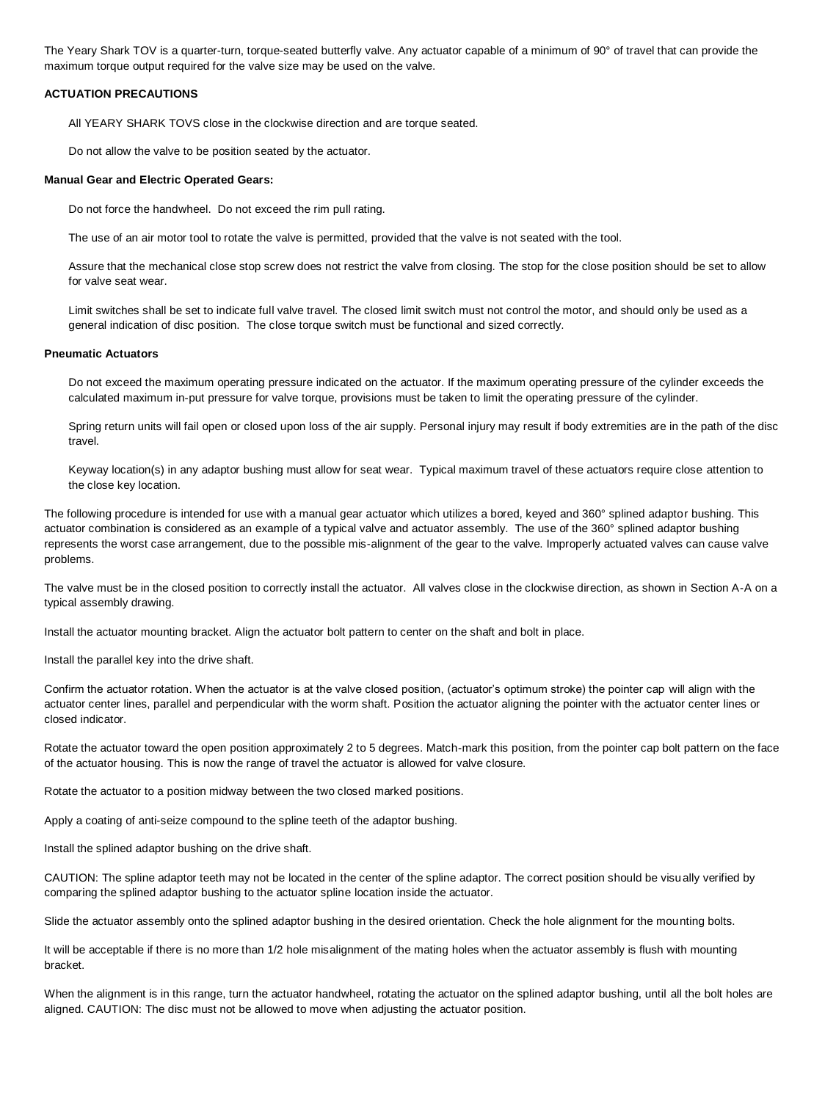The Yeary Shark TOV is a quarter-turn, torque-seated butterfly valve. Any actuator capable of a minimum of 90° of travel that can provide the maximum torque output required for the valve size may be used on the valve.

#### **ACTUATION PRECAUTIONS**

All YEARY SHARK TOVS close in the clockwise direction and are torque seated.

Do not allow the valve to be position seated by the actuator.

#### **Manual Gear and Electric Operated Gears:**

Do not force the handwheel. Do not exceed the rim pull rating.

The use of an air motor tool to rotate the valve is permitted, provided that the valve is not seated with the tool.

Assure that the mechanical close stop screw does not restrict the valve from closing. The stop for the close position should be set to allow for valve seat wear.

Limit switches shall be set to indicate full valve travel. The closed limit switch must not control the motor, and should only be used as a general indication of disc position. The close torque switch must be functional and sized correctly.

#### **Pneumatic Actuators**

Do not exceed the maximum operating pressure indicated on the actuator. If the maximum operating pressure of the cylinder exceeds the calculated maximum in-put pressure for valve torque, provisions must be taken to limit the operating pressure of the cylinder.

Spring return units will fail open or closed upon loss of the air supply. Personal injury may result if body extremities are in the path of the disc travel.

Keyway location(s) in any adaptor bushing must allow for seat wear. Typical maximum travel of these actuators require close attention to the close key location.

The following procedure is intended for use with a manual gear actuator which utilizes a bored, keyed and 360° splined adaptor bushing. This actuator combination is considered as an example of a typical valve and actuator assembly. The use of the 360° splined adaptor bushing represents the worst case arrangement, due to the possible mis-alignment of the gear to the valve. Improperly actuated valves can cause valve problems.

The valve must be in the closed position to correctly install the actuator. All valves close in the clockwise direction, as shown in Section A-A on a typical assembly drawing.

Install the actuator mounting bracket. Align the actuator bolt pattern to center on the shaft and bolt in place.

Install the parallel key into the drive shaft.

Confirm the actuator rotation. When the actuator is at the valve closed position, (actuator's optimum stroke) the pointer cap will align with the actuator center lines, parallel and perpendicular with the worm shaft. Position the actuator aligning the pointer with the actuator center lines or closed indicator.

Rotate the actuator toward the open position approximately 2 to 5 degrees. Match-mark this position, from the pointer cap bolt pattern on the face of the actuator housing. This is now the range of travel the actuator is allowed for valve closure.

Rotate the actuator to a position midway between the two closed marked positions.

Apply a coating of anti-seize compound to the spline teeth of the adaptor bushing.

Install the splined adaptor bushing on the drive shaft.

CAUTION: The spline adaptor teeth may not be located in the center of the spline adaptor. The correct position should be visually verified by comparing the splined adaptor bushing to the actuator spline location inside the actuator.

Slide the actuator assembly onto the splined adaptor bushing in the desired orientation. Check the hole alignment for the mounting bolts.

It will be acceptable if there is no more than 1/2 hole misalignment of the mating holes when the actuator assembly is flush with mounting bracket.

When the alignment is in this range, turn the actuator handwheel, rotating the actuator on the splined adaptor bushing, until all the bolt holes are aligned. CAUTION: The disc must not be allowed to move when adjusting the actuator position.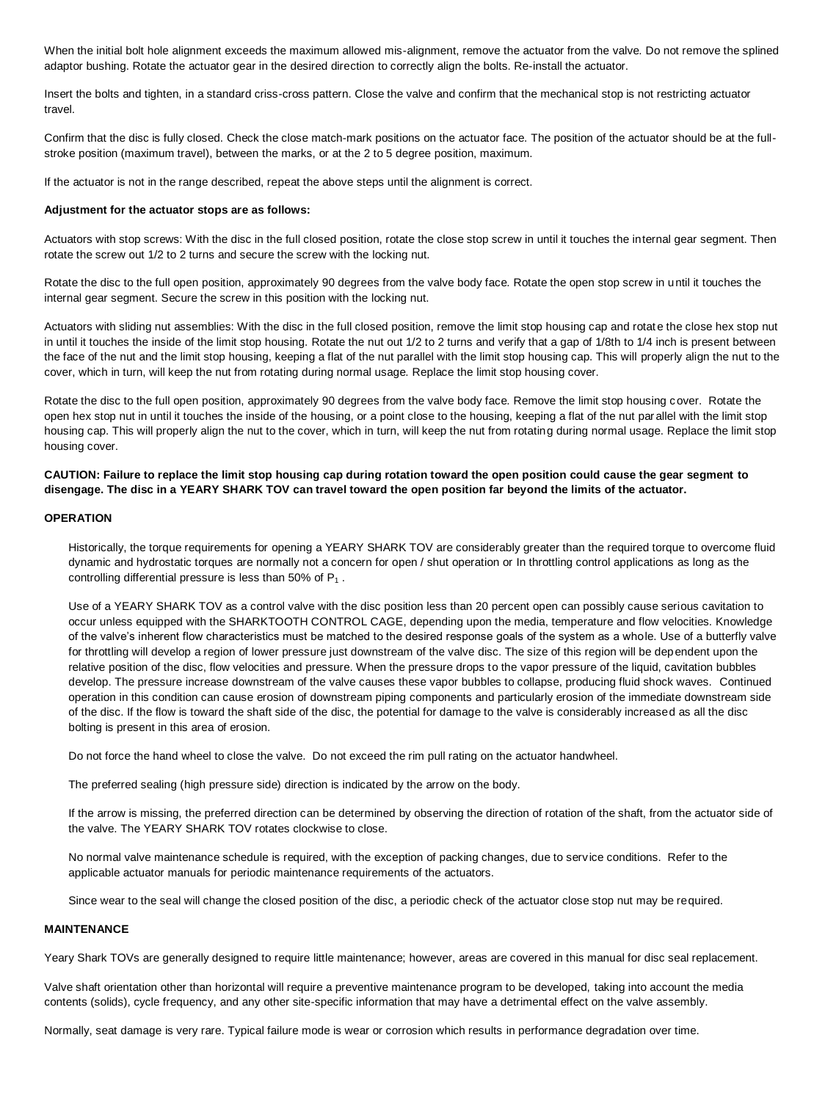When the initial bolt hole alignment exceeds the maximum allowed mis-alignment, remove the actuator from the valve. Do not remove the splined adaptor bushing. Rotate the actuator gear in the desired direction to correctly align the bolts. Re-install the actuator.

Insert the bolts and tighten, in a standard criss-cross pattern. Close the valve and confirm that the mechanical stop is not restricting actuator travel.

Confirm that the disc is fully closed. Check the close match-mark positions on the actuator face. The position of the actuator should be at the fullstroke position (maximum travel), between the marks, or at the 2 to 5 degree position, maximum.

If the actuator is not in the range described, repeat the above steps until the alignment is correct.

#### **Adjustment for the actuator stops are as follows:**

Actuators with stop screws: With the disc in the full closed position, rotate the close stop screw in until it touches the internal gear segment. Then rotate the screw out 1/2 to 2 turns and secure the screw with the locking nut.

Rotate the disc to the full open position, approximately 90 degrees from the valve body face. Rotate the open stop screw in until it touches the internal gear segment. Secure the screw in this position with the locking nut.

Actuators with sliding nut assemblies: With the disc in the full closed position, remove the limit stop housing cap and rotate the close hex stop nut in until it touches the inside of the limit stop housing. Rotate the nut out 1/2 to 2 turns and verify that a gap of 1/8th to 1/4 inch is present between the face of the nut and the limit stop housing, keeping a flat of the nut parallel with the limit stop housing cap. This will properly align the nut to the cover, which in turn, will keep the nut from rotating during normal usage. Replace the limit stop housing cover.

Rotate the disc to the full open position, approximately 90 degrees from the valve body face. Remove the limit stop housing cover. Rotate the open hex stop nut in until it touches the inside of the housing, or a point close to the housing, keeping a flat of the nut par allel with the limit stop housing cap. This will properly align the nut to the cover, which in turn, will keep the nut from rotating during normal usage. Replace the limit stop housing cover.

**CAUTION: Failure to replace the limit stop housing cap during rotation toward the open position could cause the gear segment to disengage. The disc in a YEARY SHARK TOV can travel toward the open position far beyond the limits of the actuator.** 

#### **OPERATION**

Historically, the torque requirements for opening a YEARY SHARK TOV are considerably greater than the required torque to overcome fluid dynamic and hydrostatic torques are normally not a concern for open / shut operation or In throttling control applications as long as the controlling differential pressure is less than 50% of  $P_1$ .

Use of a YEARY SHARK TOV as a control valve with the disc position less than 20 percent open can possibly cause serious cavitation to occur unless equipped with the SHARKTOOTH CONTROL CAGE, depending upon the media, temperature and flow velocities. Knowledge of the valve's inherent flow characteristics must be matched to the desired response goals of the system as a whole. Use of a butterfly valve for throttling will develop a region of lower pressure just downstream of the valve disc. The size of this region will be dependent upon the relative position of the disc, flow velocities and pressure. When the pressure drops to the vapor pressure of the liquid, cavitation bubbles develop. The pressure increase downstream of the valve causes these vapor bubbles to collapse, producing fluid shock waves. Continued operation in this condition can cause erosion of downstream piping components and particularly erosion of the immediate downstream side of the disc. If the flow is toward the shaft side of the disc, the potential for damage to the valve is considerably increased as all the disc bolting is present in this area of erosion.

Do not force the hand wheel to close the valve. Do not exceed the rim pull rating on the actuator handwheel.

The preferred sealing (high pressure side) direction is indicated by the arrow on the body.

If the arrow is missing, the preferred direction can be determined by observing the direction of rotation of the shaft, from the actuator side of the valve. The YEARY SHARK TOV rotates clockwise to close.

No normal valve maintenance schedule is required, with the exception of packing changes, due to service conditions. Refer to the applicable actuator manuals for periodic maintenance requirements of the actuators.

Since wear to the seal will change the closed position of the disc, a periodic check of the actuator close stop nut may be required.

# **MAINTENANCE**

Yeary Shark TOVs are generally designed to require little maintenance; however, areas are covered in this manual for disc seal replacement.

Valve shaft orientation other than horizontal will require a preventive maintenance program to be developed, taking into account the media contents (solids), cycle frequency, and any other site-specific information that may have a detrimental effect on the valve assembly.

Normally, seat damage is very rare. Typical failure mode is wear or corrosion which results in performance degradation over time.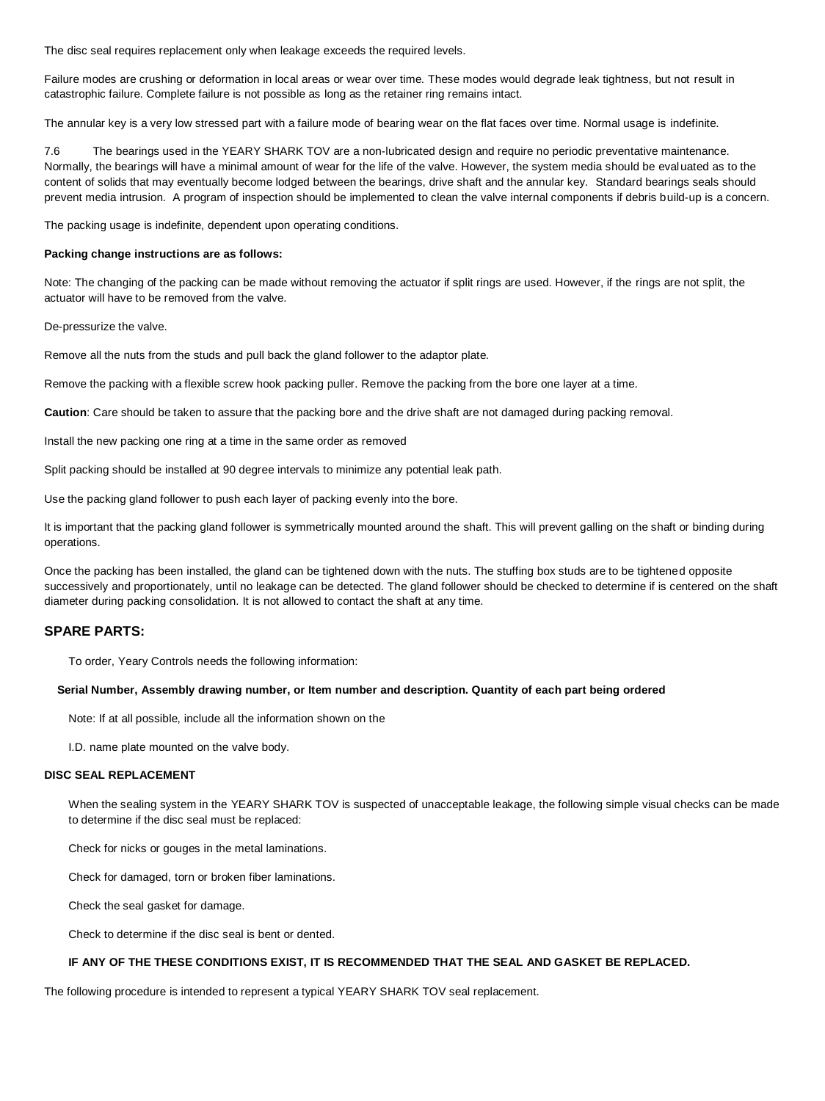The disc seal requires replacement only when leakage exceeds the required levels.

Failure modes are crushing or deformation in local areas or wear over time. These modes would degrade leak tightness, but not result in catastrophic failure. Complete failure is not possible as long as the retainer ring remains intact.

The annular key is a very low stressed part with a failure mode of bearing wear on the flat faces over time. Normal usage is indefinite.

7.6 The bearings used in the YEARY SHARK TOV are a non-lubricated design and require no periodic preventative maintenance. Normally, the bearings will have a minimal amount of wear for the life of the valve. However, the system media should be evaluated as to the content of solids that may eventually become lodged between the bearings, drive shaft and the annular key. Standard bearings seals should prevent media intrusion. A program of inspection should be implemented to clean the valve internal components if debris build-up is a concern.

The packing usage is indefinite, dependent upon operating conditions.

#### **Packing change instructions are as follows:**

Note: The changing of the packing can be made without removing the actuator if split rings are used. However, if the rings are not split, the actuator will have to be removed from the valve.

De-pressurize the valve.

Remove all the nuts from the studs and pull back the gland follower to the adaptor plate.

Remove the packing with a flexible screw hook packing puller. Remove the packing from the bore one layer at a time.

**Caution**: Care should be taken to assure that the packing bore and the drive shaft are not damaged during packing removal.

Install the new packing one ring at a time in the same order as removed

Split packing should be installed at 90 degree intervals to minimize any potential leak path.

Use the packing gland follower to push each layer of packing evenly into the bore.

It is important that the packing gland follower is symmetrically mounted around the shaft. This will prevent galling on the shaft or binding during operations.

Once the packing has been installed, the gland can be tightened down with the nuts. The stuffing box studs are to be tightened opposite successively and proportionately, until no leakage can be detected. The gland follower should be checked to determine if is centered on the shaft diameter during packing consolidation. It is not allowed to contact the shaft at any time.

# **SPARE PARTS:**

To order, Yeary Controls needs the following information:

#### **Serial Number, Assembly drawing number, or Item number and description. Quantity of each part being ordered**

Note: If at all possible, include all the information shown on the

I.D. name plate mounted on the valve body.

# **DISC SEAL REPLACEMENT**

When the sealing system in the YEARY SHARK TOV is suspected of unacceptable leakage, the following simple visual checks can be made to determine if the disc seal must be replaced:

Check for nicks or gouges in the metal laminations.

Check for damaged, torn or broken fiber laminations.

Check the seal gasket for damage.

Check to determine if the disc seal is bent or dented.

# **IF ANY OF THE THESE CONDITIONS EXIST, IT IS RECOMMENDED THAT THE SEAL AND GASKET BE REPLACED.**

The following procedure is intended to represent a typical YEARY SHARK TOV seal replacement.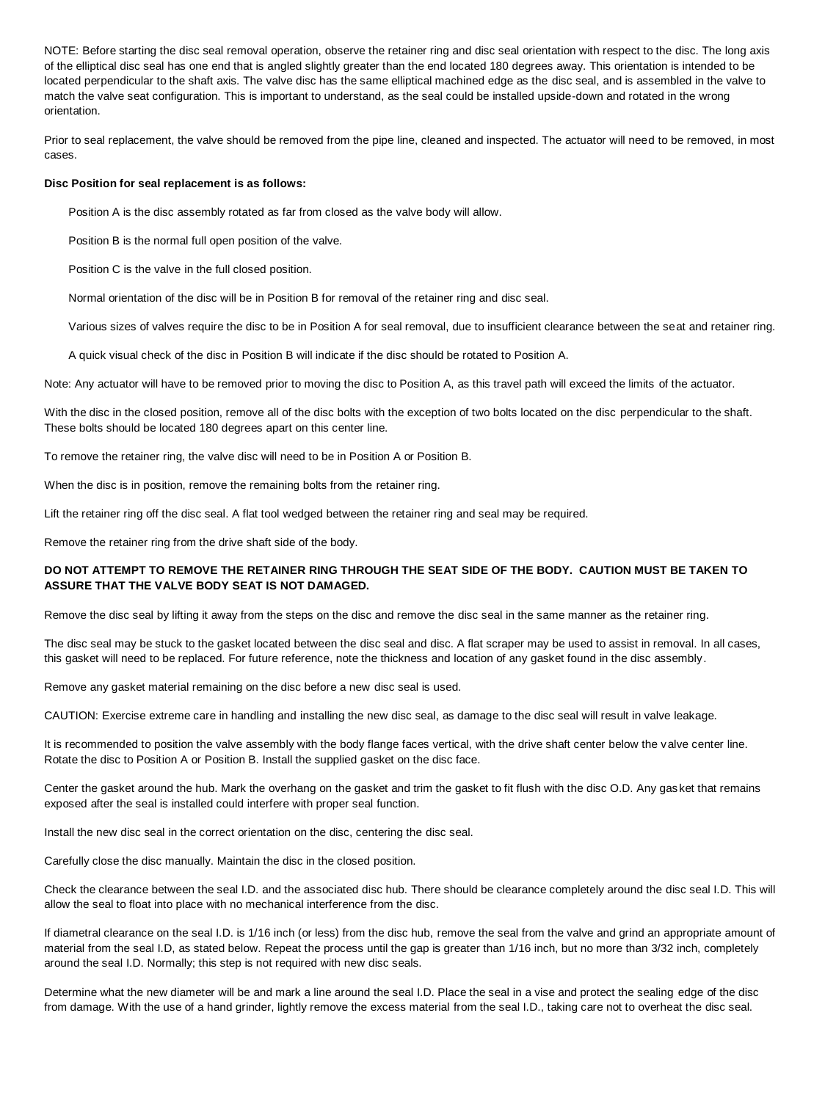NOTE: Before starting the disc seal removal operation, observe the retainer ring and disc seal orientation with respect to the disc. The long axis of the elliptical disc seal has one end that is angled slightly greater than the end located 180 degrees away. This orientation is intended to be located perpendicular to the shaft axis. The valve disc has the same elliptical machined edge as the disc seal, and is assembled in the valve to match the valve seat configuration. This is important to understand, as the seal could be installed upside-down and rotated in the wrong orientation.

Prior to seal replacement, the valve should be removed from the pipe line, cleaned and inspected. The actuator will need to be removed, in most cases.

#### **Disc Position for seal replacement is as follows:**

Position A is the disc assembly rotated as far from closed as the valve body will allow.

Position B is the normal full open position of the valve.

Position C is the valve in the full closed position.

Normal orientation of the disc will be in Position B for removal of the retainer ring and disc seal.

Various sizes of valves require the disc to be in Position A for seal removal, due to insufficient clearance between the seat and retainer ring.

A quick visual check of the disc in Position B will indicate if the disc should be rotated to Position A.

Note: Any actuator will have to be removed prior to moving the disc to Position A, as this travel path will exceed the limits of the actuator.

With the disc in the closed position, remove all of the disc bolts with the exception of two bolts located on the disc perpendicular to the shaft. These bolts should be located 180 degrees apart on this center line.

To remove the retainer ring, the valve disc will need to be in Position A or Position B.

When the disc is in position, remove the remaining bolts from the retainer ring.

Lift the retainer ring off the disc seal. A flat tool wedged between the retainer ring and seal may be required.

Remove the retainer ring from the drive shaft side of the body.

# **DO NOT ATTEMPT TO REMOVE THE RETAINER RING THROUGH THE SEAT SIDE OF THE BODY. CAUTION MUST BE TAKEN TO ASSURE THAT THE VALVE BODY SEAT IS NOT DAMAGED.**

Remove the disc seal by lifting it away from the steps on the disc and remove the disc seal in the same manner as the retainer ring.

The disc seal may be stuck to the gasket located between the disc seal and disc. A flat scraper may be used to assist in removal. In all cases, this gasket will need to be replaced. For future reference, note the thickness and location of any gasket found in the disc assembly.

Remove any gasket material remaining on the disc before a new disc seal is used.

CAUTION: Exercise extreme care in handling and installing the new disc seal, as damage to the disc seal will result in valve leakage.

It is recommended to position the valve assembly with the body flange faces vertical, with the drive shaft center below the valve center line. Rotate the disc to Position A or Position B. Install the supplied gasket on the disc face.

Center the gasket around the hub. Mark the overhang on the gasket and trim the gasket to fit flush with the disc O.D. Any gasket that remains exposed after the seal is installed could interfere with proper seal function.

Install the new disc seal in the correct orientation on the disc, centering the disc seal.

Carefully close the disc manually. Maintain the disc in the closed position.

Check the clearance between the seal I.D. and the associated disc hub. There should be clearance completely around the disc seal I.D. This will allow the seal to float into place with no mechanical interference from the disc.

If diametral clearance on the seal I.D. is 1/16 inch (or less) from the disc hub, remove the seal from the valve and grind an appropriate amount of material from the seal I.D, as stated below. Repeat the process until the gap is greater than 1/16 inch, but no more than 3/32 inch, completely around the seal I.D. Normally; this step is not required with new disc seals.

Determine what the new diameter will be and mark a line around the seal I.D. Place the seal in a vise and protect the sealing edge of the disc from damage. With the use of a hand grinder, lightly remove the excess material from the seal I.D., taking care not to overheat the disc seal.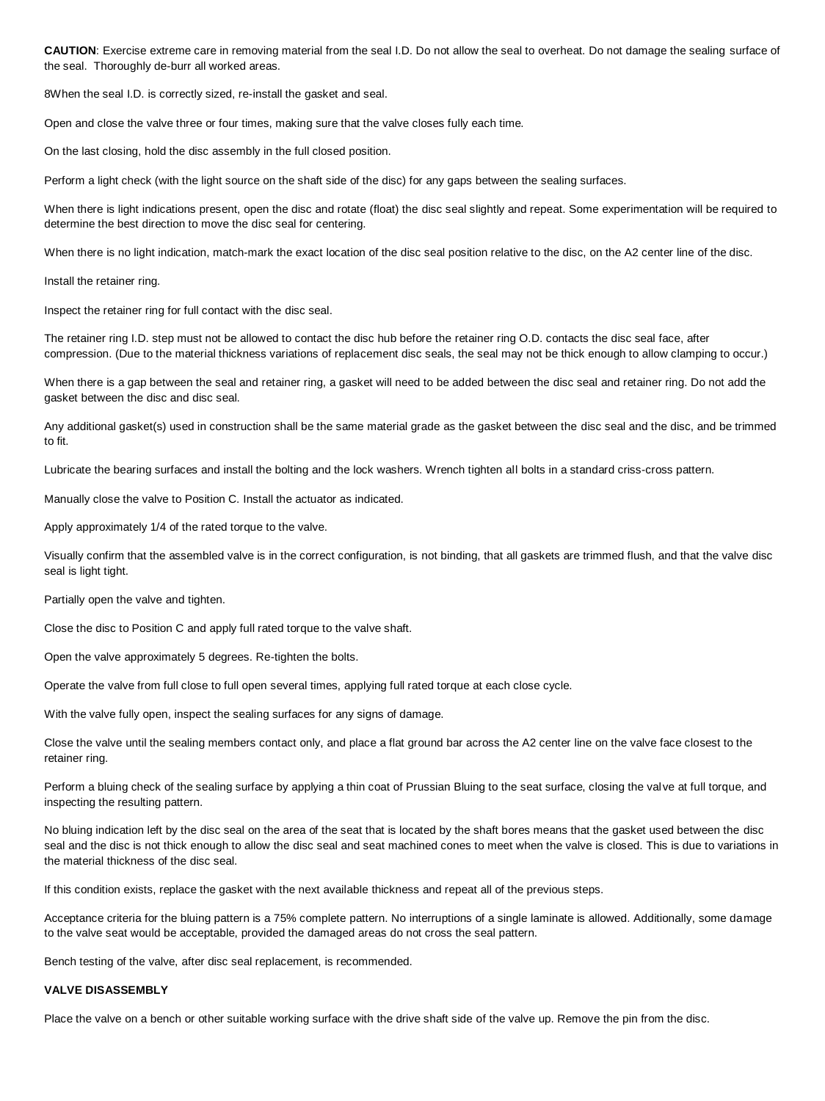**CAUTION**: Exercise extreme care in removing material from the seal I.D. Do not allow the seal to overheat. Do not damage the sealing surface of the seal. Thoroughly de-burr all worked areas.

8When the seal I.D. is correctly sized, re-install the gasket and seal.

Open and close the valve three or four times, making sure that the valve closes fully each time.

On the last closing, hold the disc assembly in the full closed position.

Perform a light check (with the light source on the shaft side of the disc) for any gaps between the sealing surfaces.

When there is light indications present, open the disc and rotate (float) the disc seal slightly and repeat. Some experimentation will be required to determine the best direction to move the disc seal for centering.

When there is no light indication, match-mark the exact location of the disc seal position relative to the disc, on the A2 center line of the disc.

Install the retainer ring.

Inspect the retainer ring for full contact with the disc seal.

The retainer ring I.D. step must not be allowed to contact the disc hub before the retainer ring O.D. contacts the disc seal face, after compression. (Due to the material thickness variations of replacement disc seals, the seal may not be thick enough to allow clamping to occur.)

When there is a gap between the seal and retainer ring, a gasket will need to be added between the disc seal and retainer ring. Do not add the gasket between the disc and disc seal.

Any additional gasket(s) used in construction shall be the same material grade as the gasket between the disc seal and the disc, and be trimmed to fit.

Lubricate the bearing surfaces and install the bolting and the lock washers. Wrench tighten all bolts in a standard criss-cross pattern.

Manually close the valve to Position C. Install the actuator as indicated.

Apply approximately 1/4 of the rated torque to the valve.

Visually confirm that the assembled valve is in the correct configuration, is not binding, that all gaskets are trimmed flush, and that the valve disc seal is light tight.

Partially open the valve and tighten.

Close the disc to Position C and apply full rated torque to the valve shaft.

Open the valve approximately 5 degrees. Re-tighten the bolts.

Operate the valve from full close to full open several times, applying full rated torque at each close cycle.

With the valve fully open, inspect the sealing surfaces for any signs of damage.

Close the valve until the sealing members contact only, and place a flat ground bar across the A2 center line on the valve face closest to the retainer ring.

Perform a bluing check of the sealing surface by applying a thin coat of Prussian Bluing to the seat surface, closing the valve at full torque, and inspecting the resulting pattern.

No bluing indication left by the disc seal on the area of the seat that is located by the shaft bores means that the gasket used between the disc seal and the disc is not thick enough to allow the disc seal and seat machined cones to meet when the valve is closed. This is due to variations in the material thickness of the disc seal.

If this condition exists, replace the gasket with the next available thickness and repeat all of the previous steps.

Acceptance criteria for the bluing pattern is a 75% complete pattern. No interruptions of a single laminate is allowed. Additionally, some damage to the valve seat would be acceptable, provided the damaged areas do not cross the seal pattern.

Bench testing of the valve, after disc seal replacement, is recommended.

#### **VALVE DISASSEMBLY**

Place the valve on a bench or other suitable working surface with the drive shaft side of the valve up. Remove the pin from the disc.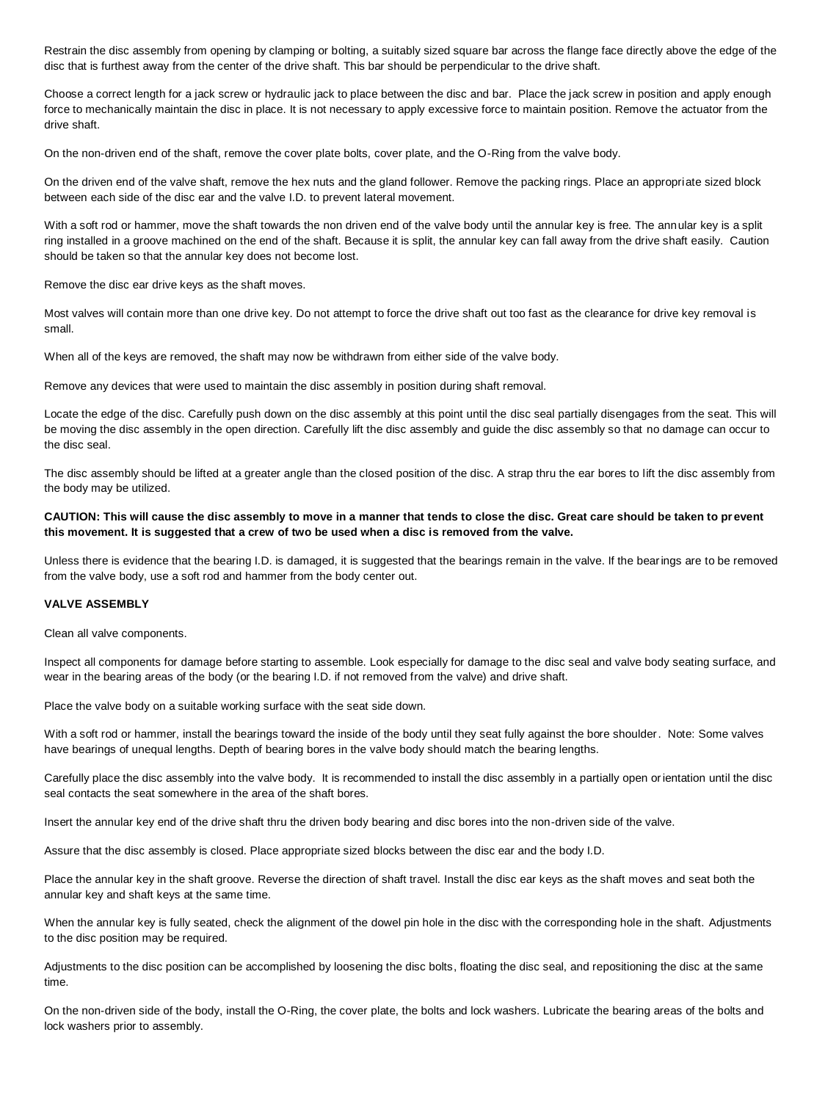Restrain the disc assembly from opening by clamping or bolting, a suitably sized square bar across the flange face directly above the edge of the disc that is furthest away from the center of the drive shaft. This bar should be perpendicular to the drive shaft.

Choose a correct length for a jack screw or hydraulic jack to place between the disc and bar. Place the jack screw in position and apply enough force to mechanically maintain the disc in place. It is not necessary to apply excessive force to maintain position. Remove the actuator from the drive shaft.

On the non-driven end of the shaft, remove the cover plate bolts, cover plate, and the O-Ring from the valve body.

On the driven end of the valve shaft, remove the hex nuts and the gland follower. Remove the packing rings. Place an appropriate sized block between each side of the disc ear and the valve I.D. to prevent lateral movement.

With a soft rod or hammer, move the shaft towards the non driven end of the valve body until the annular key is free. The annular key is a split ring installed in a groove machined on the end of the shaft. Because it is split, the annular key can fall away from the drive shaft easily. Caution should be taken so that the annular key does not become lost.

Remove the disc ear drive keys as the shaft moves.

Most valves will contain more than one drive key. Do not attempt to force the drive shaft out too fast as the clearance for drive key removal is small.

When all of the keys are removed, the shaft may now be withdrawn from either side of the valve body.

Remove any devices that were used to maintain the disc assembly in position during shaft removal.

Locate the edge of the disc. Carefully push down on the disc assembly at this point until the disc seal partially disengages from the seat. This will be moving the disc assembly in the open direction. Carefully lift the disc assembly and guide the disc assembly so that no damage can occur to the disc seal.

The disc assembly should be lifted at a greater angle than the closed position of the disc. A strap thru the ear bores to lift the disc assembly from the body may be utilized.

# **CAUTION: This will cause the disc assembly to move in a manner that tends to close the disc. Great care should be taken to prevent this movement. It is suggested that a crew of two be used when a disc is removed from the valve.**

Unless there is evidence that the bearing I.D. is damaged, it is suggested that the bearings remain in the valve. If the bearings are to be removed from the valve body, use a soft rod and hammer from the body center out.

#### **VALVE ASSEMBLY**

Clean all valve components.

Inspect all components for damage before starting to assemble. Look especially for damage to the disc seal and valve body seating surface, and wear in the bearing areas of the body (or the bearing I.D. if not removed from the valve) and drive shaft.

Place the valve body on a suitable working surface with the seat side down.

With a soft rod or hammer, install the bearings toward the inside of the body until they seat fully against the bore shoulder. Note: Some valves have bearings of unequal lengths. Depth of bearing bores in the valve body should match the bearing lengths.

Carefully place the disc assembly into the valve body. It is recommended to install the disc assembly in a partially open orientation until the disc seal contacts the seat somewhere in the area of the shaft bores.

Insert the annular key end of the drive shaft thru the driven body bearing and disc bores into the non-driven side of the valve.

Assure that the disc assembly is closed. Place appropriate sized blocks between the disc ear and the body I.D.

Place the annular key in the shaft groove. Reverse the direction of shaft travel. Install the disc ear keys as the shaft moves and seat both the annular key and shaft keys at the same time.

When the annular key is fully seated, check the alignment of the dowel pin hole in the disc with the corresponding hole in the shaft. Adjustments to the disc position may be required.

Adjustments to the disc position can be accomplished by loosening the disc bolts, floating the disc seal, and repositioning the disc at the same time.

On the non-driven side of the body, install the O-Ring, the cover plate, the bolts and lock washers. Lubricate the bearing areas of the bolts and lock washers prior to assembly.